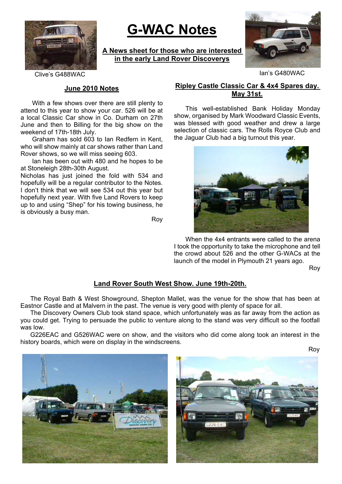

# **G-WAC Notes**

**A News sheet for those who are interested in the early Land Rover Discoverys**



Clive's G488WAC Ian's G480WAC

#### **June 2010 Notes**

With a few shows over there are still plenty to attend to this year to show your car. 526 will be at a local Classic Car show in Co. Durham on 27th June and then to Billing for the big show on the weekend of 17th-18th July.

Graham has sold 603 to Ian Redfern in Kent, who will show mainly at car shows rather than Land Rover shows, so we will miss seeing 603.

Ian has been out with 480 and he hopes to be at Stoneleigh 28th-30th August.

Nicholas has just joined the fold with 534 and hopefully will be a regular contributor to the Notes. I don't think that we will see 534 out this year but hopefully next year. With five Land Rovers to keep up to and using "Shep" for his towing business, he is obviously a busy man.

Roy

# **Ripley Castle Classic Car & 4x4 Spares day. May 31st.**

This well-established Bank Holiday Monday show, organised by Mark Woodward Classic Events, was blessed with good weather and drew a large selection of classic cars. The Rolls Royce Club and the Jaguar Club had a big turnout this year.



When the 4x4 entrants were called to the arena I took the opportunity to take the microphone and tell the crowd about 526 and the other G-WACs at the launch of the model in Plymouth 21 years ago.

Roy

#### **Land Rover South West Show. June 19th-20th.**

The Royal Bath & West Showground, Shepton Mallet, was the venue for the show that has been at Eastnor Castle and at Malvern in the past. The venue is very good with plenty of space for all.

The Discovery Owners Club took stand space, which unfortunately was as far away from the action as you could get. Trying to persuade the public to venture along to the stand was very difficult so the footfall was low.

G226EAC and G526WAC were on show, and the visitors who did come along took an interest in the history boards, which were on display in the windscreens.

Roy



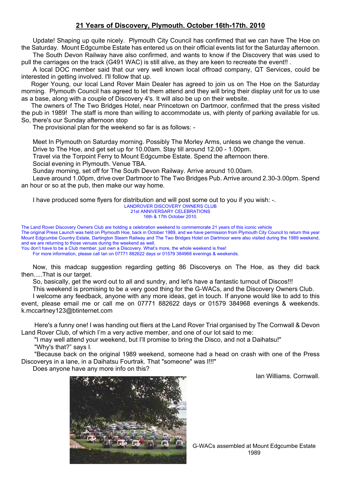# **21 Years of Discovery, Plymouth. October 16th-17th. 2010**

Update! Shaping up quite nicely. Plymouth City Council has confirmed that we can have The Hoe on the Saturday. Mount Edgcumbe Estate has entered us on their official events list for the Saturday afternoon.

The South Devon Railway have also confirmed, and wants to know if the Discovery that was used to pull the carriages on the track (G491 WAC) is still alive, as they are keen to recreate the event!! .

A local DOC member said that our very well known local offroad company, QT Services, could be interested in getting involved. I'll follow that up.

Roger Young, our local Land Rover Main Dealer has agreed to join us on The Hoe on the Saturday morning. Plymouth Council has agreed to let them attend and they will bring their display unit for us to use as a base, along with a couple of Discovery 4's. It will also be up on their website.

The owners of The Two Bridges Hotel, near Princetown on Dartmoor, confirmed that the press visited the pub in 1989! The staff is more than willing to accommodate us, with plenty of parking available for us. So, there's our Sunday afternoon stop

The provisional plan for the weekend so far is as follows: -

Meet In Plymouth on Saturday morning. Possibly The Morley Arms, unless we change the venue.

Drive to The Hoe, and get set up for 10.00am. Stay till around 12.00 - 1.00pm.

Travel via the Torpoint Ferry to Mount Edgcumbe Estate. Spend the afternoon there.

Social evening in Plymouth. Venue TBA.

Sunday morning, set off for The South Devon Railway. Arrive around 10.00am.

Leave around 1.00pm, drive over Dartmoor to The Two Bridges Pub. Arrive around 2.30-3.00pm. Spend an hour or so at the pub, then make our way home.

I have produced some flyers for distribution and will post some out to you if you wish: -.

LANDROVER DISCOVERY OWNERS CLUB

21st ANNIVERSARY CELEBRATIONS

16th & 17th October 2010.

The Land Rover Discovery Owners Club are holding a celebration weekend to commemorate 21 years of this iconic vehicle The original Press Launch was held on Plymouth Hoe, back in October 1989, and we have permission from Plymouth City Council to return this year Mount Edgcumbe Country Estate, Dartington Steam Railway and The Two Bridges Hotel on Dartmoor were also visited during the 1989 weekend, and we are returning to those venues during the weekend as well.

You don't have to be a Club member, just own a Discovery. What's more, the whole weekend is free!

For more information, please call Ian on 07771 882622 days or 01579 384968 evenings & weekends.

Now, this madcap suggestion regarding getting 86 Discoverys on The Hoe, as they did back then.....That is our target.

So, basically, get the word out to all and sundry, and let's have a fantastic turnout of Discos!!!

This weekend is promising to be a very good thing for the G-WACs, and the Discovery Owners Club.

I welcome any feedback, anyone with any more ideas, get in touch. If anyone would like to add to this event, please email me or call me on 07771 882622 days or 01579 384968 evenings & weekends. k.mccartney123@btinternet.com

Here's a funny one! I was handing out fliers at the Land Rover Trial organised by The Cornwall & Devon Land Rover Club, of which I'm a very active member, and one of our lot said to me:

"I may well attend your weekend, but I'll promise to bring the Disco, and not a Daihatsu!" "Why's that?" says I.

"Because back on the original 1989 weekend, someone had a head on crash with one of the Press Discoverys in a lane, in a Daihatsu Fourtrak. That "someone" was I!!!"

Does anyone have any more info on this?

Ian Williams. Cornwall.

G-WACs assembled at Mount Edgcumbe Estate 1989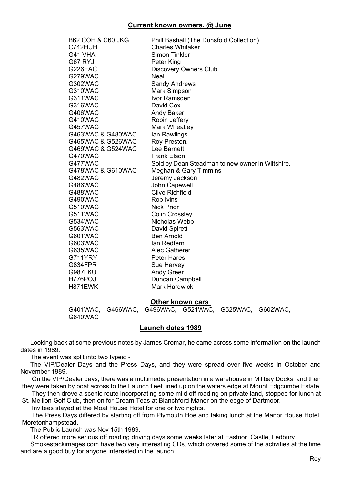# **Current known owners. @ June**

| B62 COH & C60 JKG | Phill Bashall (The Dunsfold Collection)          |
|-------------------|--------------------------------------------------|
| C742HUH           | Charles Whitaker.                                |
| G41 VHA           | <b>Simon Tinkler</b>                             |
| G67 RYJ           | Peter King                                       |
| G226EAC           | <b>Discovery Owners Club</b>                     |
| G279WAC           | <b>Neal</b>                                      |
| G302WAC           | <b>Sandy Andrews</b>                             |
| G310WAC           | Mark Simpson                                     |
| G311WAC           | Ivor Ramsden                                     |
| G316WAC           | David Cox                                        |
| G406WAC           | Andy Baker.                                      |
| G410WAC           | Robin Jeffery                                    |
| G457WAC           | Mark Wheatley                                    |
| G463WAC & G480WAC | lan Rawlings.                                    |
| G465WAC & G526WAC | Roy Preston.                                     |
| G469WAC & G524WAC | Lee Barnett                                      |
| G470WAC           | Frank Elson.                                     |
| G477WAC           | Sold by Dean Steadman to new owner in Wiltshire. |
| G478WAC & G610WAC | Meghan & Gary Timmins                            |
| G482WAC           | Jeremy Jackson                                   |
| G486WAC           | John Capewell.                                   |
| G488WAC           | <b>Clive Richfield</b>                           |
| G490WAC           | Rob Ivins                                        |
| G510WAC           | <b>Nick Prior</b>                                |
| G511WAC           | <b>Colin Crossley</b>                            |
| G534WAC           | Nicholas Webb                                    |
| G563WAC           | David Spirett                                    |
| G601WAC           | <b>Ben Arnold</b>                                |
| G603WAC           | lan Redfern.                                     |
| G635WAC           | <b>Alec Gatherer</b>                             |
| G711YRY           | <b>Peter Hares</b>                               |
| G834FPR           | Sue Harvey                                       |
| G987LKU           | <b>Andy Greer</b>                                |
| H776POJ           | Duncan Campbell                                  |
| H871EWK           | <b>Mark Hardwick</b>                             |

#### **Other known cars**

G401WAC, G466WAC, G496WAC, G521WAC, G525WAC, G602WAC, G640WAC

#### **Launch dates 1989**

Looking back at some previous notes by James Cromar, he came across some information on the launch dates in 1989.

The event was split into two types: -

The VIP/Dealer Days and the Press Days, and they were spread over five weeks in October and November 1989.

On the VIP/Dealer days, there was a multimedia presentation in a warehouse in Millbay Docks, and then they were taken by boat across to the Launch fleet lined up on the waters edge at Mount Edgcumbe Estate.

They then drove a scenic route incorporating some mild off roading on private land, stopped for lunch at St. Mellion Golf Club, then on for Cream Teas at Blanchford Manor on the edge of Dartmoor.

Invitees stayed at the Moat House Hotel for one or two nights.

The Press Days differed by starting off from Plymouth Hoe and taking lunch at the Manor House Hotel, Moretonhampstead.

The Public Launch was Nov 15th 1989.

LR offered more serious off roading driving days some weeks later at Eastnor. Castle, Ledbury.

Smokestackimages.com have two very interesting CDs, which covered some of the activities at the time and are a good buy for anyone interested in the launch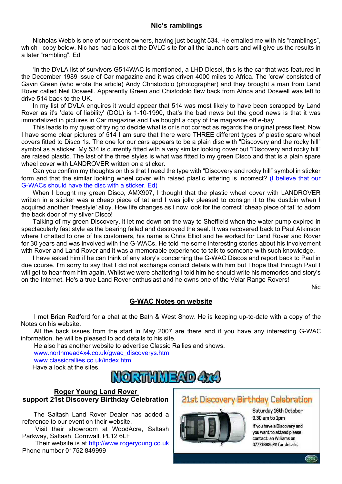# **Nic's ramblings**

Nicholas Webb is one of our recent owners, having just bought 534. He emailed me with his "ramblings", which I copy below. Nic has had a look at the DVLC site for all the launch cars and will give us the results in a later "rambling". Ed

'In the DVLA list of survivors G514WAC is mentioned, a LHD Diesel, this is the car that was featured in the December 1989 issue of Car magazine and it was driven 4000 miles to Africa. The 'crew' consisted of Gavin Green (who wrote the article) Andy Christodolo (photographer) and they brought a man from Land Rover called Neil Doswell. Apparently Green and Chistodolo flew back from Africa and Doswell was left to drive 514 back to the UK.

In my list of DVLA enquires it would appear that 514 was most likely to have been scrapped by Land Rover as it's 'date of liability' (DOL) is 1-10-1990, that's the bad news but the good news is that it was immortalized in pictures in Car magazine and I've bought a copy of the magazine off e-bay

This leads to my quest of trying to decide what is or is not correct as regards the original press fleet. Now I have some clear pictures of 514 I am sure that there were THREE different types of plastic spare wheel covers fitted to Disco 1s. The one for our cars appears to be a plain disc with "Discovery and the rocky hill" symbol as a sticker. My 534 is currently fitted with a very similar looking cover but "Discovery and rocky hill" are raised plastic. The last of the three styles is what was fitted to my green Disco and that is a plain spare wheel cover with LANDROVER written on a sticker.

Can you confirm my thoughts on this that I need the type with "Discovery and rocky hill" symbol in sticker form and that the similar looking wheel cover with raised plastic lettering is incorrect? (I believe that our G-WACs should have the disc with a sticker. Ed)

When I bought my green Disco, AMX907. I thought that the plastic wheel cover with LANDROVER written in a sticker was a cheap piece of tat and I was jolly pleased to consign it to the dustbin when I acquired another 'freestyle' alloy. How life changes as I now look for the correct 'cheap piece of tat' to adorn the back door of my silver Disco!

Talking of my green Discovery, it let me down on the way to Sheffield when the water pump expired in spectacularly fast style as the bearing failed and destroyed the seal. It was recovered back to Paul Atkinson where I chatted to one of his customers, his name is Chris Elliot and he worked for Land Rover and Rover for 30 years and was involved with the G-WACs. He told me some interesting stories about his involvement with Rover and Land Rover and it was a memorable experience to talk to someone with such knowledge.

I have asked him if he can think of any story's concerning the G-WAC Discos and report back to Paul in due course. I'm sorry to say that I did not exchange contact details with him but I hope that through Paul I will get to hear from him again. Whilst we were chattering I told him he should write his memories and story's on the Internet. He's a true Land Rover enthusiast and he owns one of the Velar Range Rovers!

Nic

# **G-WAC Notes on website**

I met Brian Radford for a chat at the Bath & West Show. He is keeping up-to-date with a copy of the Notes on his website.

All the back issues from the start in May 2007 are there and if you have any interesting G-WAC information, he will be pleased to add details to his site.

He also has another website to advertise Classic Rallies and shows.

www.northmead4x4.co.uk/gwac\_discoverys.htm

www.classicrallies.co.uk/index.html

Have a look at the sites.



### **Roger Young Land Rover support 21st Discovery Birthday Celebration**

The Saltash Land Rover Dealer has added a reference to our event on their website.

Visit their showroom at WoodAcre, Saltash Parkway, Saltash, Cornwall. PL12 6LF.

Their website is at http://www.rogeryoung.co.uk Phone number 01752 849999

# 21st Discovery Birthday Celebration



Saturday 16th October 9.30 am to 1pm

If you have a Discovery and you want to attend please contact lan Williams on 07771882622 for details.